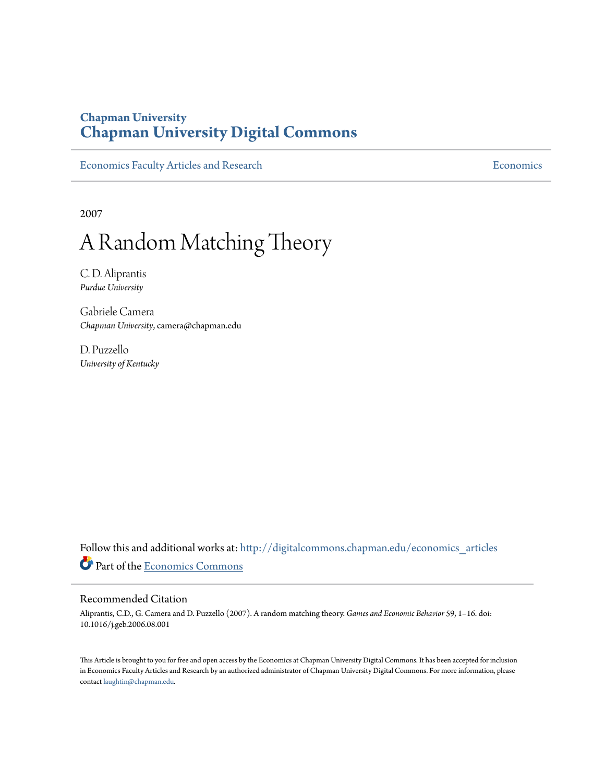## **Chapman University [Chapman University Digital Commons](http://digitalcommons.chapman.edu?utm_source=digitalcommons.chapman.edu%2Feconomics_articles%2F79&utm_medium=PDF&utm_campaign=PDFCoverPages)**

[Economics Faculty Articles and Research](http://digitalcommons.chapman.edu/economics_articles?utm_source=digitalcommons.chapman.edu%2Feconomics_articles%2F79&utm_medium=PDF&utm_campaign=PDFCoverPages) **[Economics](http://digitalcommons.chapman.edu/economics?utm_source=digitalcommons.chapman.edu%2Feconomics_articles%2F79&utm_medium=PDF&utm_campaign=PDFCoverPages)** Economics

2007

# A Random Matching Theory

C. D. Aliprantis *Purdue University*

Gabriele Camera *Chapman University*, camera@chapman.edu

D. Puzzello *University of Kentucky*

Follow this and additional works at: [http://digitalcommons.chapman.edu/economics\\_articles](http://digitalcommons.chapman.edu/economics_articles?utm_source=digitalcommons.chapman.edu%2Feconomics_articles%2F79&utm_medium=PDF&utm_campaign=PDFCoverPages) Part of the [Economics Commons](http://network.bepress.com/hgg/discipline/340?utm_source=digitalcommons.chapman.edu%2Feconomics_articles%2F79&utm_medium=PDF&utm_campaign=PDFCoverPages)

#### Recommended Citation

Aliprantis, C.D., G. Camera and D. Puzzello (2007). A random matching theory. *Games and Economic Behavior* 59, 1–16. doi: 10.1016/j.geb.2006.08.001

This Article is brought to you for free and open access by the Economics at Chapman University Digital Commons. It has been accepted for inclusion in Economics Faculty Articles and Research by an authorized administrator of Chapman University Digital Commons. For more information, please contact [laughtin@chapman.edu](mailto:laughtin@chapman.edu).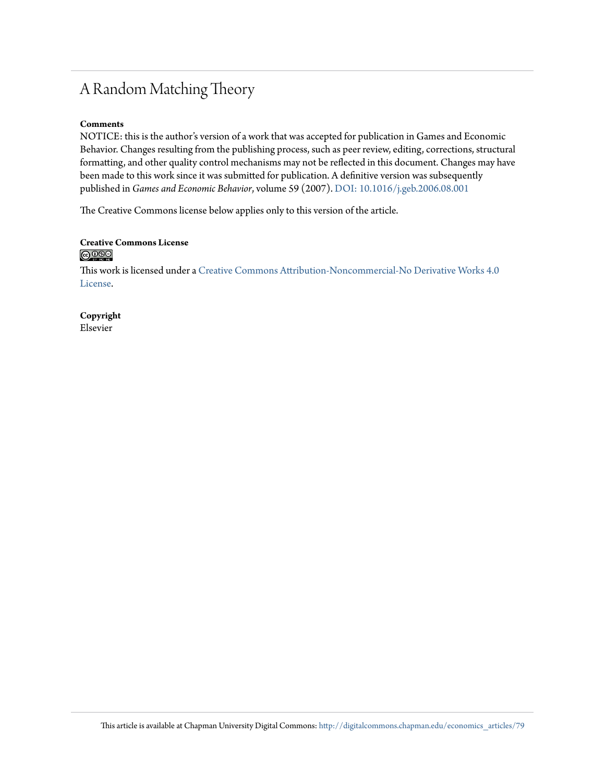## A Random Matching Theory

#### **Comments**

NOTICE: this is the author's version of a work that was accepted for publication in Games and Economic Behavior. Changes resulting from the publishing process, such as peer review, editing, corrections, structural formatting, and other quality control mechanisms may not be reflected in this document. Changes may have been made to this work since it was submitted for publication. A definitive version was subsequently published in *Games and Economic Behavior*, volume 59 (2007). [DOI: 10.1016/j.geb.2006.08.001](http://dx.doi.org/10.1016/j.geb.2006.08.001)

The Creative Commons license below applies only to this version of the article.

#### **Creative Commons License**  $\bigcirc$   $\circ$

This work is licensed under a [Creative Commons Attribution-Noncommercial-No Derivative Works 4.0](http://creativecommons.org/licenses/by-nc-nd/4.0/) [License.](http://creativecommons.org/licenses/by-nc-nd/4.0/)

**Copyright** Elsevier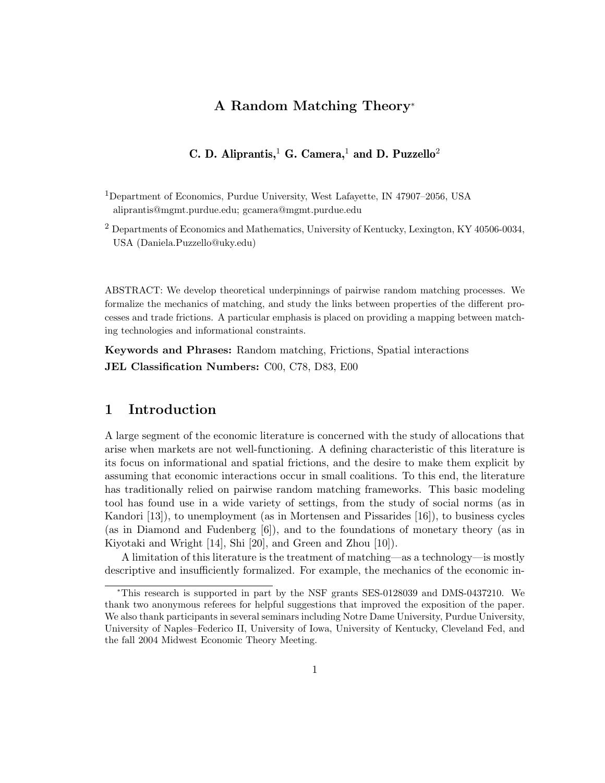## **A Random Matching Theory**<sup>∗</sup>

## **C. D. Aliprantis,**<sup>1</sup> **G. Camera,**<sup>1</sup> **and D. Puzzello**<sup>2</sup>

<sup>1</sup>Department of Economics, Purdue University, West Lafayette, IN 47907–2056, USA aliprantis@mgmt.purdue.edu; gcamera@mgmt.purdue.edu

 $2$  Departments of Economics and Mathematics, University of Kentucky, Lexington, KY 40506-0034, USA (Daniela.Puzzello@uky.edu)

ABSTRACT: We develop theoretical underpinnings of pairwise random matching processes. We formalize the mechanics of matching, and study the links between properties of the different processes and trade frictions. A particular emphasis is placed on providing a mapping between matching technologies and informational constraints.

**Keywords and Phrases:** Random matching, Frictions, Spatial interactions **JEL Classification Numbers:** C00, C78, D83, E00

## **1 Introduction**

A large segment of the economic literature is concerned with the study of allocations that arise when markets are not well-functioning. A defining characteristic of this literature is its focus on informational and spatial frictions, and the desire to make them explicit by assuming that economic interactions occur in small coalitions. To this end, the literature has traditionally relied on pairwise random matching frameworks. This basic modeling tool has found use in a wide variety of settings, from the study of social norms (as in Kandori [13]), to unemployment (as in Mortensen and Pissarides [16]), to business cycles (as in Diamond and Fudenberg [6]), and to the foundations of monetary theory (as in Kiyotaki and Wright [14], Shi [20], and Green and Zhou [10]).

A limitation of this literature is the treatment of matching—as a technology—is mostly descriptive and insufficiently formalized. For example, the mechanics of the economic in-

<sup>∗</sup>This research is supported in part by the NSF grants SES-0128039 and DMS-0437210. We thank two anonymous referees for helpful suggestions that improved the exposition of the paper. We also thank participants in several seminars including Notre Dame University, Purdue University, University of Naples–Federico II, University of Iowa, University of Kentucky, Cleveland Fed, and the fall 2004 Midwest Economic Theory Meeting.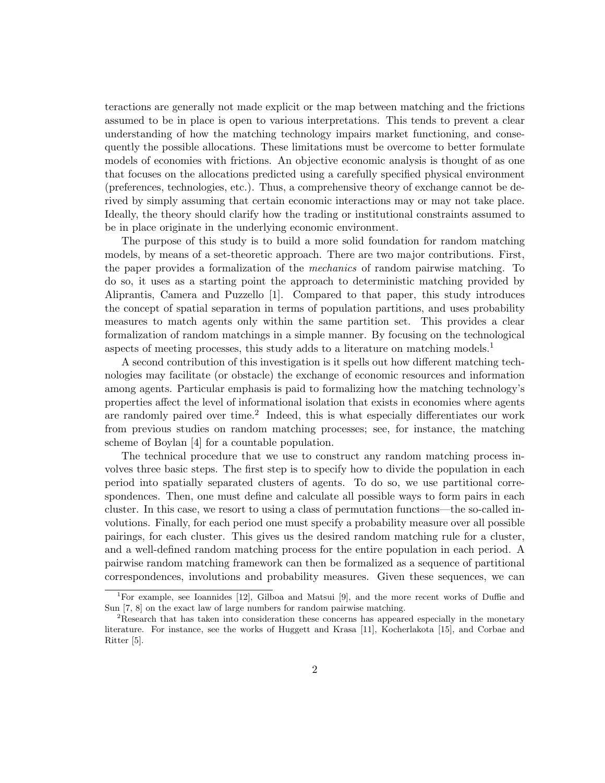teractions are generally not made explicit or the map between matching and the frictions assumed to be in place is open to various interpretations. This tends to prevent a clear understanding of how the matching technology impairs market functioning, and consequently the possible allocations. These limitations must be overcome to better formulate models of economies with frictions. An objective economic analysis is thought of as one that focuses on the allocations predicted using a carefully specified physical environment (preferences, technologies, etc.). Thus, a comprehensive theory of exchange cannot be derived by simply assuming that certain economic interactions may or may not take place. Ideally, the theory should clarify how the trading or institutional constraints assumed to be in place originate in the underlying economic environment.

The purpose of this study is to build a more solid foundation for random matching models, by means of a set-theoretic approach. There are two major contributions. First, the paper provides a formalization of the mechanics of random pairwise matching. To do so, it uses as a starting point the approach to deterministic matching provided by Aliprantis, Camera and Puzzello [1]. Compared to that paper, this study introduces the concept of spatial separation in terms of population partitions, and uses probability measures to match agents only within the same partition set. This provides a clear formalization of random matchings in a simple manner. By focusing on the technological aspects of meeting processes, this study adds to a literature on matching models.<sup>1</sup>

A second contribution of this investigation is it spells out how different matching technologies may facilitate (or obstacle) the exchange of economic resources and information among agents. Particular emphasis is paid to formalizing how the matching technology's properties affect the level of informational isolation that exists in economies where agents are randomly paired over time.<sup>2</sup> Indeed, this is what especially differentiates our work from previous studies on random matching processes; see, for instance, the matching scheme of Boylan [4] for a countable population.

The technical procedure that we use to construct any random matching process involves three basic steps. The first step is to specify how to divide the population in each period into spatially separated clusters of agents. To do so, we use partitional correspondences. Then, one must define and calculate all possible ways to form pairs in each cluster. In this case, we resort to using a class of permutation functions—the so-called involutions. Finally, for each period one must specify a probability measure over all possible pairings, for each cluster. This gives us the desired random matching rule for a cluster, and a well-defined random matching process for the entire population in each period. A pairwise random matching framework can then be formalized as a sequence of partitional correspondences, involutions and probability measures. Given these sequences, we can

<sup>1</sup>For example, see Ioannides [12], Gilboa and Matsui [9], and the more recent works of Duffie and Sun [7, 8] on the exact law of large numbers for random pairwise matching.

<sup>&</sup>lt;sup>2</sup>Research that has taken into consideration these concerns has appeared especially in the monetary literature. For instance, see the works of Huggett and Krasa [11], Kocherlakota [15], and Corbae and Ritter [5].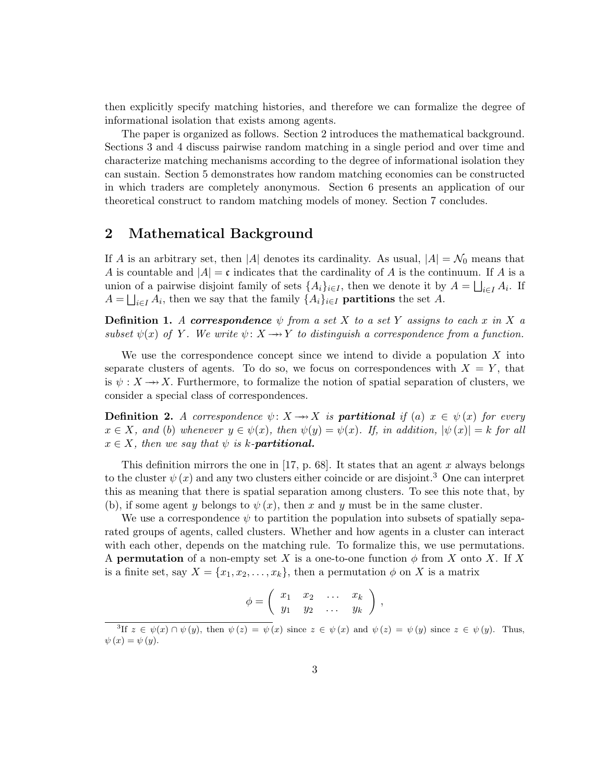then explicitly specify matching histories, and therefore we can formalize the degree of informational isolation that exists among agents.

The paper is organized as follows. Section 2 introduces the mathematical background. Sections 3 and 4 discuss pairwise random matching in a single period and over time and characterize matching mechanisms according to the degree of informational isolation they can sustain. Section 5 demonstrates how random matching economies can be constructed in which traders are completely anonymous. Section 6 presents an application of our theoretical construct to random matching models of money. Section 7 concludes.

### **2 Mathematical Background**

If *A* is an arbitrary set, then |*A*| denotes its cardinality. As usual,  $|A| = \mathcal{N}_0$  means that *A* is countable and  $|A| = c$  indicates that the cardinality of *A* is the continuum. If *A* is a union of a pairwise disjoint family of sets  $\{A_i\}_{i\in I}$ , then we denote it by  $A = \bigsqcup_{i\in I} A_i$ . If  $A = \bigsqcup_{i \in I} A_i$ , then we say that the family  $\{A_i\}_{i \in I}$  **partitions** the set *A*.

**Definition 1.** A *correspondence*  $\psi$  from a set X to a set Y assigns to each x in X a subset  $\psi(x)$  of *Y*. We write  $\psi: X \rightarrow Y$  to distinguish a correspondence from a function.

We use the correspondence concept since we intend to divide a population *X* into separate clusters of agents. To do so, we focus on correspondences with  $X = Y$ , that is  $\psi: X \longrightarrow X$ . Furthermore, to formalize the notion of spatial separation of clusters, we consider a special class of correspondences.

**Definition 2.** A correspondence  $\psi: X \to X$  is **partitional** if (a)  $x \in \psi(x)$  for every  $x \in X$ , and (b) whenever  $y \in \psi(x)$ , then  $\psi(y) = \psi(x)$ . If, in addition,  $|\psi(x)| = k$  for all  $x \in X$ , then we say that  $\psi$  is *k*-**partitional.** 

This definition mirrors the one in [17, p. 68]. It states that an agent *x* always belongs to the cluster  $\psi(x)$  and any two clusters either coincide or are disjoint.<sup>3</sup> One can interpret this as meaning that there is spatial separation among clusters. To see this note that, by (b), if some agent *y* belongs to  $\psi(x)$ , then *x* and *y* must be in the same cluster.

We use a correspondence  $\psi$  to partition the population into subsets of spatially separated groups of agents, called clusters. Whether and how agents in a cluster can interact with each other, depends on the matching rule. To formalize this, we use permutations. A **permutation** of a non-empty set X is a one-to-one function  $\phi$  from X onto X. If X is a finite set, say  $X = \{x_1, x_2, \ldots, x_k\}$ , then a permutation  $\phi$  on X is a matrix

$$
\phi = \left( \begin{array}{cccc} x_1 & x_2 & \dots & x_k \\ y_1 & y_2 & \dots & y_k \end{array} \right) ,
$$

<sup>&</sup>lt;sup>3</sup>If  $z \in \psi(x) \cap \psi(y)$ , then  $\psi(z) = \psi(x)$  since  $z \in \psi(x)$  and  $\psi(z) = \psi(y)$  since  $z \in \psi(y)$ . Thus,  $\psi(x) = \psi(y).$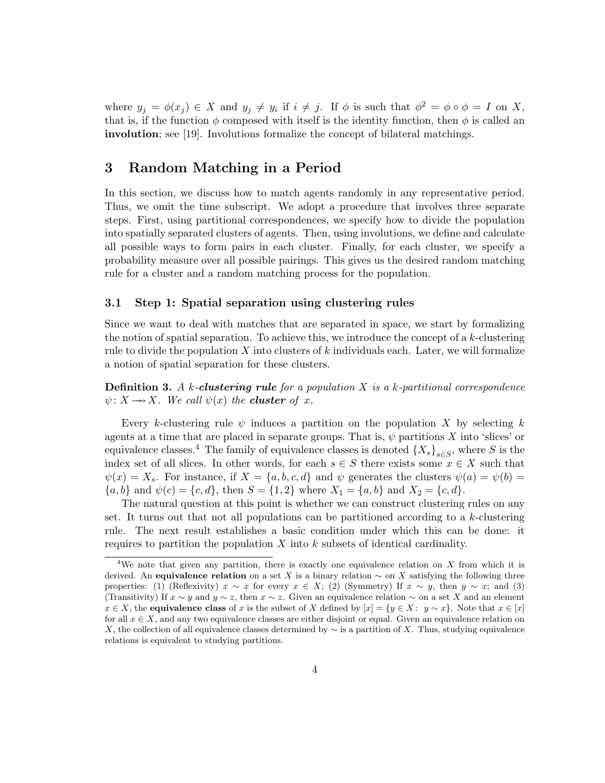where  $y_j = \phi(x_j) \in X$  and  $y_j \neq y_i$  if  $i \neq j$ . If  $\phi$  is such that  $\phi^2 = \phi \circ \phi = I$  on X, that is, if the function  $\phi$  composed with itself is the identity function, then  $\phi$  is called an **involution**; see [19]. Involutions formalize the concept of bilateral matchings.

## **3 Random Matching in a Period**

In this section, we discuss how to match agents randomly in any representative period. Thus, we omit the time subscript. We adopt a procedure that involves three separate steps. First, using partitional correspondences, we specify how to divide the population into spatially separated clusters of agents. Then, using involutions, we define and calculate all possible ways to form pairs in each cluster. Finally, for each cluster, we specify a probability measure over all possible pairings. This gives us the desired random matching rule for a cluster and a random matching process for the population.

#### **3.1 Step 1: Spatial separation using clustering rules**

Since we want to deal with matches that are separated in space, we start by formalizing the notion of spatial separation. To achieve this, we introduce the concept of a *k*-clustering rule to divide the population *X* into clusters of *k* individuals each. Later, we will formalize a notion of spatial separation for these clusters.

**Definition 3.** A *k*-*clustering rule* for a population *X* is a *k*-partitional correspondence  $\psi: X \longrightarrow X$ . We call  $\psi(x)$  the **cluster** of *x*.

Every *k*-clustering rule  $\psi$  induces a partition on the population *X* by selecting *k* agents at a time that are placed in separate groups. That is,  $\psi$  partitions *X* into 'slices' or equivalence classes.<sup>4</sup> The family of equivalence classes is denoted  $\{X_s\}_{s\in S}$ , where *S* is the index set of all slices. In other words, for each  $s \in S$  there exists some  $x \in X$  such that  $\psi(x) = X_s$ . For instance, if  $X = \{a, b, c, d\}$  and  $\psi$  generates the clusters  $\psi(a) = \psi(b)$  ${a, b}$  and  $\psi(c) = {c, d}$ , then  $S = {1, 2}$  where  $X_1 = {a, b}$  and  $X_2 = {c, d}$ .

The natural question at this point is whether we can construct clustering rules on any set. It turns out that not all populations can be partitioned according to a *k*-clustering rule. The next result establishes a basic condition under which this can be done: it requires to partition the population *X* into *k* subsets of identical cardinality.

<sup>4</sup>We note that given any partition, there is exactly one equivalence relation on *X* from which it is derived. An **equivalence relation** on a set *X* is a binary relation  $\sim$  on *X* satisfying the following three properties: (1) (Reflexivity)  $x \sim x$  for every  $x \in X$ ; (2) (Symmetry) If  $x \sim y$ , then  $y \sim x$ ; and (3) (Transitivity) If  $x \sim y$  and  $y \sim z$ , then  $x \sim z$ . Given an equivalence relation  $\sim$  on a set X and an element  $x \in X$ , the **equivalence class** of *x* is the subset of *X* defined by  $[x] = \{y \in X : y \sim x\}$ . Note that  $x \in [x]$ for all  $x \in X$ , and any two equivalence classes are either disjoint or equal. Given an equivalence relation on *X*, the collection of all equivalence classes determined by ∼ is a partition of *X*. Thus, studying equivalence relations is equivalent to studying partitions.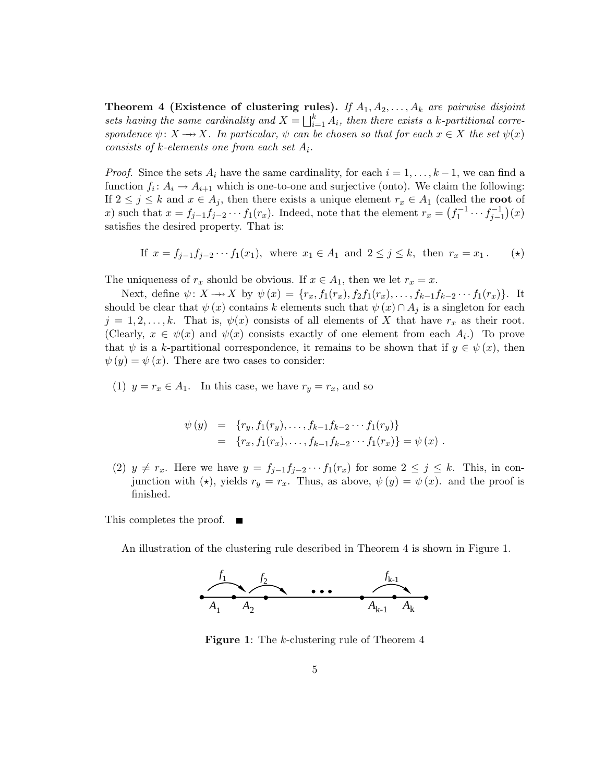**Theorem 4 (Existence of clustering rules).** If  $A_1, A_2, \ldots, A_k$  are pairwise disjoint sets having the same cardinality and  $X = \bigsqcup_{i=1}^{k} A_i$ , then there exists a *k*-partitional correspondence  $\psi: X \to X$ . In particular,  $\psi$  can be chosen so that for each  $x \in X$  the set  $\psi(x)$ consists of *k*-elements one from each set *A*i.

*Proof.* Since the sets  $A_i$  have the same cardinality, for each  $i = 1, \ldots, k - 1$ , we can find a function  $f_i: A_i \to A_{i+1}$  which is one-to-one and surjective (onto). We claim the following: If  $2 \leq j \leq k$  and  $x \in A_j$ , then there exists a unique element  $r_x \in A_1$  (called the **root** of *x*) such that  $x = f_{j-1}f_{j-2}\cdots f_1(r_x)$ . Indeed, note that the element  $r_x = (f_1^{-1}\cdots f_{j-1}^{-1})(x)$ satisfies the desired property. That is:

If 
$$
x = f_{j-1}f_{j-2} \cdots f_1(x_1)
$$
, where  $x_1 \in A_1$  and  $2 \le j \le k$ , then  $r_x = x_1$ . (\*)

The uniqueness of  $r_x$  should be obvious. If  $x \in A_1$ , then we let  $r_x = x$ .

Next, define  $\psi: X \to X$  by  $\psi(x) = \{r_x, f_1(r_x), f_2f_1(r_x), \ldots, f_{k-1}f_{k-2} \cdots f_1(r_x)\}.$  It should be clear that  $\psi(x)$  contains *k* elements such that  $\psi(x) \cap A_i$  is a singleton for each  $j = 1, 2, \ldots, k$ . That is,  $\psi(x)$  consists of all elements of X that have  $r_x$  as their root. (Clearly,  $x \in \psi(x)$  and  $\psi(x)$  consists exactly of one element from each  $A_i$ .) To prove that  $\psi$  is a *k*-partitional correspondence, it remains to be shown that if  $y \in \psi(x)$ , then  $\psi(y) = \psi(x)$ . There are two cases to consider:

(1)  $y = r_x \in A_1$ . In this case, we have  $r_y = r_x$ , and so

$$
\psi(y) = \{r_y, f_1(r_y), \dots, f_{k-1}f_{k-2} \cdots f_1(r_y)\}
$$
  
= 
$$
\{r_x, f_1(r_x), \dots, f_{k-1}f_{k-2} \cdots f_1(r_x)\} = \psi(x) .
$$

(2)  $y \neq r_x$ . Here we have  $y = f_{j-1}f_{j-2} \cdots f_1(r_x)$  for some  $2 \leq j \leq k$ . This, in conjunction with  $(\star)$ , yields  $r_y = r_x$ . Thus, as above,  $\psi(y) = \psi(x)$ . and the proof is finished.

This completes the proof.  $\blacksquare$ 

An illustration of the clustering rule described in Theorem 4 is shown in Figure 1.



**Figure 1**: The *k*-clustering rule of Theorem 4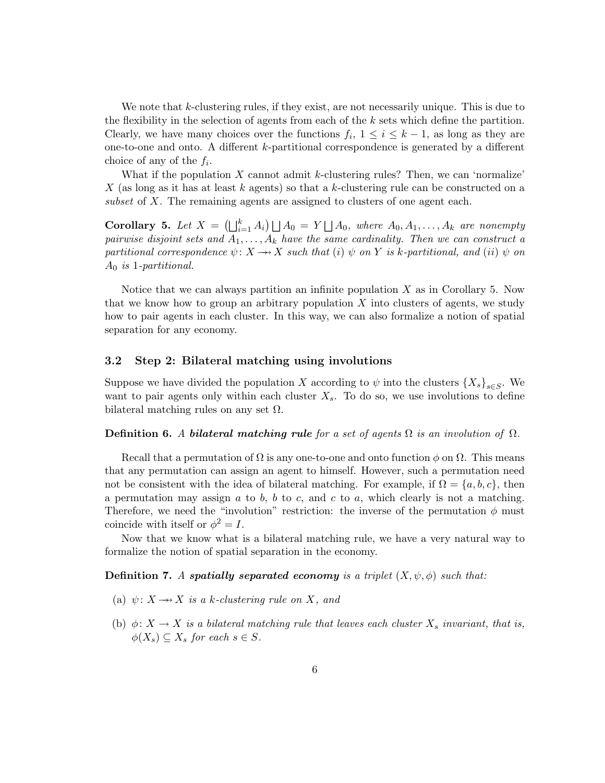We note that *k*-clustering rules, if they exist, are not necessarily unique. This is due to the flexibility in the selection of agents from each of the *k* sets which define the partition. Clearly, we have many choices over the functions  $f_i$ ,  $1 \leq i \leq k-1$ , as long as they are one-to-one and onto. A different *k*-partitional correspondence is generated by a different choice of any of the *f*i.

What if the population *X* cannot admit *k*-clustering rules? Then, we can 'normalize' *X* (as long as it has at least *k* agents) so that a *k*-clustering rule can be constructed on a subset of X. The remaining agents are assigned to clusters of one agent each.

**Corollary 5.** Let  $X = (\bigsqcup_{i=1}^k A_i) \bigsqcup A_0 = Y \bigsqcup A_0$ , where  $A_0, A_1, \ldots, A_k$  are nonempty pairwise disjoint sets and  $A_1, \ldots, A_k$  have the same cardinality. Then we can construct a partitional correspondence  $\psi: X \rightarrow X$  such that (*i*)  $\psi$  on *Y* is *k*-partitional, and (*ii*)  $\psi$  on *A*<sup>0</sup> is 1-partitional.

Notice that we can always partition an infinite population *X* as in Corollary 5. Now that we know how to group an arbitrary population *X* into clusters of agents, we study how to pair agents in each cluster. In this way, we can also formalize a notion of spatial separation for any economy.

#### **3.2 Step 2: Bilateral matching using involutions**

Suppose we have divided the population *X* according to  $\psi$  into the clusters  $\{X_s\}_{s\in S}$ . We want to pair agents only within each cluster  $X_s$ . To do so, we use involutions to define bilateral matching rules on any set  $\Omega$ .

#### **Definition 6.** A **bilateral matching rule** for a set of agents  $\Omega$  is an involution of  $\Omega$ .

Recall that a permutation of  $\Omega$  is any one-to-one and onto function  $\phi$  on  $\Omega$ . This means that any permutation can assign an agent to himself. However, such a permutation need not be consistent with the idea of bilateral matching. For example, if  $\Omega = \{a, b, c\}$ , then a permutation may assign *a* to *b*, *b* to *c*, and *c* to *a*, which clearly is not a matching. Therefore, we need the "involution" restriction: the inverse of the permutation  $\phi$  must coincide with itself or  $\phi^2 = I$ .

Now that we know what is a bilateral matching rule, we have a very natural way to formalize the notion of spatial separation in the economy.

#### **Definition 7.** A *spatially separated economy* is a triplet  $(X, \psi, \phi)$  such that:

- (a)  $\psi: X \longrightarrow X$  is a *k*-clustering rule on X, and
- (b)  $\phi: X \to X$  is a bilateral matching rule that leaves each cluster  $X_s$  invariant, that is,  $\phi(X_s) \subseteq X_s$  for each  $s \in S$ .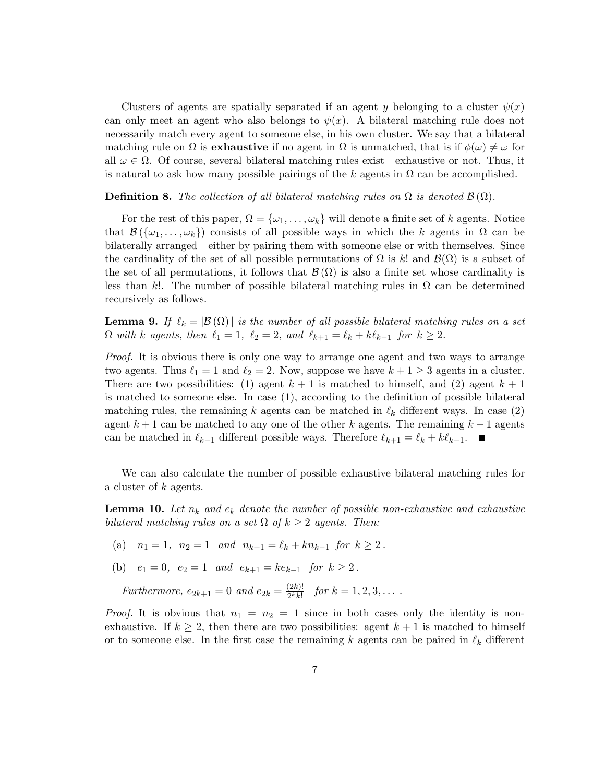Clusters of agents are spatially separated if an agent *y* belonging to a cluster  $\psi(x)$ can only meet an agent who also belongs to  $\psi(x)$ . A bilateral matching rule does not necessarily match every agent to someone else, in his own cluster. We say that a bilateral matching rule on  $\Omega$  is **exhaustive** if no agent in  $\Omega$  is unmatched, that is if  $\phi(\omega) \neq \omega$  for all  $\omega \in \Omega$ . Of course, several bilateral matching rules exist—exhaustive or not. Thus, it is natural to ask how many possible pairings of the  $k$  agents in  $\Omega$  can be accomplished.

**Definition 8.** The collection of all bilateral matching rules on  $\Omega$  is denoted  $\mathcal{B}(\Omega)$ .

For the rest of this paper,  $\Omega = {\omega_1, \ldots, \omega_k}$  will denote a finite set of *k* agents. Notice that  $\mathcal{B}(\{\omega_1,\ldots,\omega_k\})$  consists of all possible ways in which the *k* agents in  $\Omega$  can be bilaterally arranged—either by pairing them with someone else or with themselves. Since the cardinality of the set of all possible permutations of  $\Omega$  is *k*! and  $\mathcal{B}(\Omega)$  is a subset of the set of all permutations, it follows that  $\mathcal{B}(\Omega)$  is also a finite set whose cardinality is less than *k*!. The number of possible bilateral matching rules in  $\Omega$  can be determined recursively as follows.

**Lemma 9.** If  $\ell_k = |\mathcal{B}(\Omega)|$  is the number of all possible bilateral matching rules on a set  $\Omega$  with *k* agents, then  $\ell_1 = 1$ ,  $\ell_2 = 2$ , and  $\ell_{k+1} = \ell_k + k\ell_{k-1}$  for  $k \geq 2$ .

Proof. It is obvious there is only one way to arrange one agent and two ways to arrange two agents. Thus  $\ell_1 = 1$  and  $\ell_2 = 2$ . Now, suppose we have  $k + 1 \geq 3$  agents in a cluster. There are two possibilities: (1) agent  $k+1$  is matched to himself, and (2) agent  $k+1$ is matched to someone else. In case (1), according to the definition of possible bilateral matching rules, the remaining k agents can be matched in  $\ell_k$  different ways. In case (2) agent *k* + 1 can be matched to any one of the other *k* agents. The remaining *k* − 1 agents can be matched in  $\ell_{k-1}$  different possible ways. Therefore  $\ell_{k+1} = \ell_k + k\ell_{k-1}$ . ■

We can also calculate the number of possible exhaustive bilateral matching rules for a cluster of *k* agents.

**Lemma 10.** Let  $n_k$  and  $e_k$  denote the number of possible non-exhaustive and exhaustive bilateral matching rules on a set  $\Omega$  of  $k \geq 2$  agents. Then:

- (a)  $n_1 = 1$ ,  $n_2 = 1$  and  $n_{k+1} = \ell_k + kn_{k-1}$  for  $k \geq 2$ .
- (b)  $e_1 = 0$ ,  $e_2 = 1$  and  $e_{k+1} = ke_{k-1}$  for  $k \ge 2$ .

Furthermore,  $e_{2k+1} = 0$  and  $e_{2k} = \frac{(2k)!}{2^k k!}$  for  $k = 1, 2, 3, \ldots$ .

*Proof.* It is obvious that  $n_1 = n_2 = 1$  since in both cases only the identity is nonexhaustive. If  $k \geq 2$ , then there are two possibilities: agent  $k+1$  is matched to himself or to someone else. In the first case the remaining  $k$  agents can be paired in  $\ell_k$  different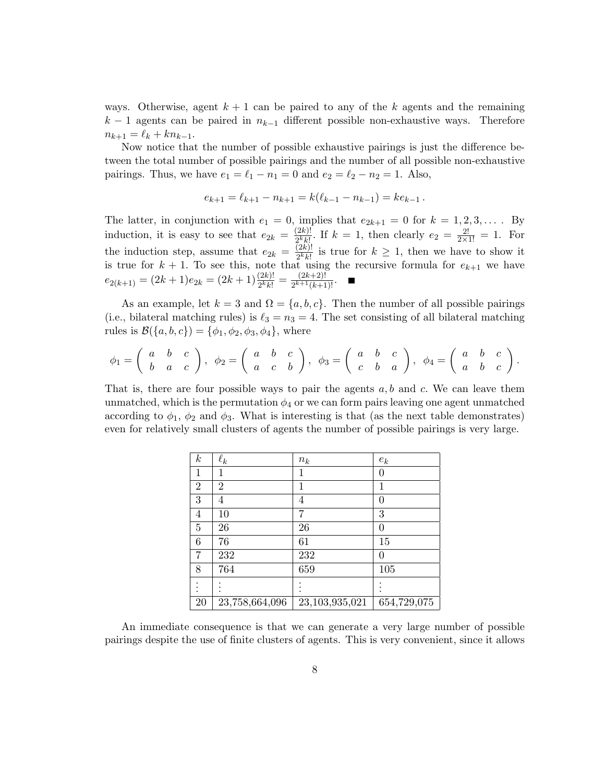ways. Otherwise, agent  $k+1$  can be paired to any of the  $k$  agents and the remaining  $k-1$  agents can be paired in  $n_{k-1}$  different possible non-exhaustive ways. Therefore  $n_{k+1} = \ell_k + kn_{k-1}.$ 

Now notice that the number of possible exhaustive pairings is just the difference between the total number of possible pairings and the number of all possible non-exhaustive pairings. Thus, we have  $e_1 = \ell_1 - n_1 = 0$  and  $e_2 = \ell_2 - n_2 = 1$ . Also,

$$
e_{k+1} = \ell_{k+1} - n_{k+1} = k(\ell_{k-1} - n_{k-1}) = ke_{k-1}.
$$

The latter, in conjunction with  $e_1 = 0$ , implies that  $e_{2k+1} = 0$  for  $k = 1, 2, 3, \ldots$ . By induction, it is easy to see that  $e_{2k} = \frac{(2k)!}{2^k k!}$ . If  $k = 1$ , then clearly  $e_2 = \frac{2!}{2 \times 1!} = 1$ . For the induction step, assume that  $e_{2k} = \frac{(2k)!}{2^k k!}$  is true for  $k \geq 1$ , then we have to show it is true for  $k + 1$ . To see this, note that using the recursive formula for  $e_{k+1}$  we have  $e_{2(k+1)} = (2k+1)e_{2k} = (2k+1)\frac{(2k)!}{2^k k!} = \frac{(2k+2)!}{2^{k+1}(k+1)!}.$ 

As an example, let  $k = 3$  and  $\Omega = \{a, b, c\}$ . Then the number of all possible pairings (i.e., bilateral matching rules) is  $\ell_3 = n_3 = 4$ . The set consisting of all bilateral matching rules is  $\mathcal{B}(\{a, b, c\}) = \{\phi_1, \phi_2, \phi_3, \phi_4\},\$  where

$$
\phi_1=\left(\begin{array}{ccc}a&b&c\\b&a&c\end{array}\right),\ \ \phi_2=\left(\begin{array}{ccc}a&b&c\\a&c&b\end{array}\right),\ \ \phi_3=\left(\begin{array}{ccc}a&b&c\\c&b&a\end{array}\right),\ \ \phi_4=\left(\begin{array}{ccc}a&b&c\\a&b&c\end{array}\right).
$$

That is, there are four possible ways to pair the agents *a, b* and *c.* We can leave them unmatched, which is the permutation  $\phi_4$  or we can form pairs leaving one agent unmatched according to  $\phi_1$ ,  $\phi_2$  and  $\phi_3$ . What is interesting is that (as the next table demonstrates) even for relatively small clusters of agents the number of possible pairings is very large.

| $\boldsymbol{k}$ | $\ell_k$       | $n_k$          | $e_k$            |
|------------------|----------------|----------------|------------------|
| 1                | 1              | 1              | $\left( \right)$ |
| $\overline{2}$   | $\overline{2}$ | 1              | 1                |
| 3                | 4              | 4              | 0                |
| 4                | 10             | 7              | 3                |
| 5                | 26             | 26             | $\left( \right)$ |
| 6                | 76             | 61             | 15               |
| 7                | 232            | 232            | 0                |
| 8                | 764            | 659            | 105              |
|                  |                |                |                  |
| 20               | 23,758,664,096 | 23,103,935,021 | 654,729,075      |

An immediate consequence is that we can generate a very large number of possible pairings despite the use of finite clusters of agents. This is very convenient, since it allows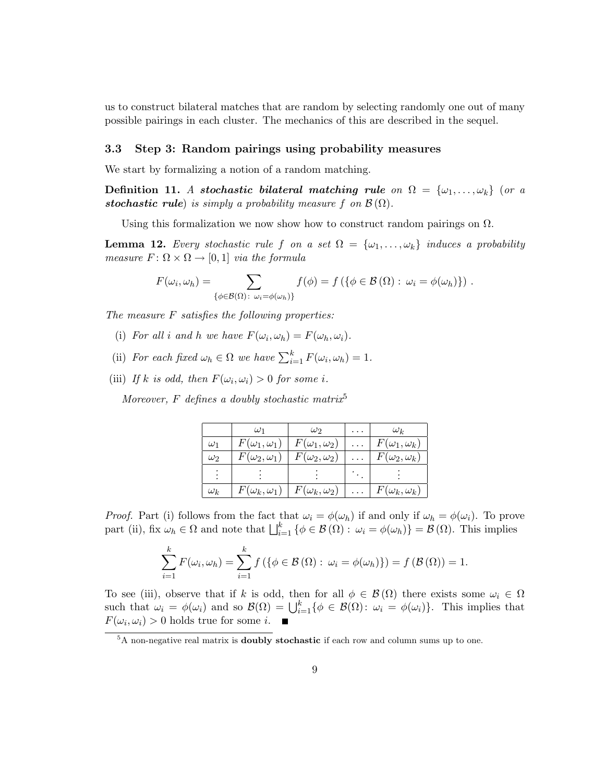us to construct bilateral matches that are random by selecting randomly one out of many possible pairings in each cluster. The mechanics of this are described in the sequel.

#### **3.3 Step 3: Random pairings using probability measures**

We start by formalizing a notion of a random matching.

**Definition 11.** A *stochastic bilateral matching rule* on  $\Omega = {\omega_1, \ldots, \omega_k}$  (or a *stochastic rule*) is simply a probability measure *f* on  $\mathcal{B}(\Omega)$ .

Using this formalization we now show how to construct random pairings on  $\Omega$ .

**Lemma 12.** Every stochastic rule *f* on a set  $\Omega = {\omega_1, \ldots, \omega_k}$  induces a probability *measure*  $F: \Omega \times \Omega \rightarrow [0, 1]$  *via the formula* 

$$
F(\omega_i, \omega_h) = \sum_{\{\phi \in \mathcal{B}(\Omega) : \omega_i = \phi(\omega_h)\}} f(\phi) = f(\{\phi \in \mathcal{B}(\Omega) : \omega_i = \phi(\omega_h)\}) .
$$

The measure *F* satisfies the following properties:

- (i) For all *i* and *h* we have  $F(\omega_i, \omega_h) = F(\omega_h, \omega_i)$ .
- (ii) For each fixed  $\omega_h \in \Omega$  we have  $\sum_{i=1}^k F(\omega_i, \omega_h) = 1$ .
- (iii) If *k* is odd, then  $F(\omega_i, \omega_i) > 0$  for some *i*.

Moreover,  $F$  defines a doubly stochastic matrix<sup>5</sup>

|            | $\omega_1$              | $\omega$                | $\omega_k$              |
|------------|-------------------------|-------------------------|-------------------------|
| $\omega_1$ | $F(\omega_1,\omega_1)$  | $F(\omega_1,\omega_2)$  | $F(\omega_1,\omega_k)$  |
| $\omega_2$ | $F(\omega_2,\omega_1)$  | $F(\omega_2,\omega_2)$  | $F(\omega_2,\omega_k)$  |
|            |                         |                         |                         |
| $\omega_k$ | $F(\omega_k, \omega_1)$ | $F(\omega_k, \omega_2)$ | $F(\omega_k, \omega_k)$ |

*Proof.* Part (i) follows from the fact that  $\omega_i = \phi(\omega_h)$  if and only if  $\omega_h = \phi(\omega_i)$ . To prove part (ii), fix  $\omega_h \in \Omega$  and note that  $\bigsqcup_{i=1}^k {\phi \in \mathcal{B}(\Omega) : \omega_i = \phi(\omega_h)} = \mathcal{B}(\Omega)$ . This implies

$$
\sum_{i=1}^{k} F(\omega_i, \omega_h) = \sum_{i=1}^{k} f(\{\phi \in \mathcal{B}(\Omega) : \omega_i = \phi(\omega_h)\}) = f(\mathcal{B}(\Omega)) = 1.
$$

To see (iii), observe that if *k* is odd, then for all  $\phi \in \mathcal{B}(\Omega)$  there exists some  $\omega_i \in \Omega$ such that  $\omega_i = \phi(\omega_i)$  and so  $\mathcal{B}(\Omega) = \bigcup_{i=1}^k {\phi \in \mathcal{B}(\Omega) : \omega_i = \phi(\omega_i)}$ . This implies that  $F(\omega_i, \omega_i) > 0$  holds true for some *i*.

<sup>5</sup>A non-negative real matrix is **doubly stochastic** if each row and column sums up to one.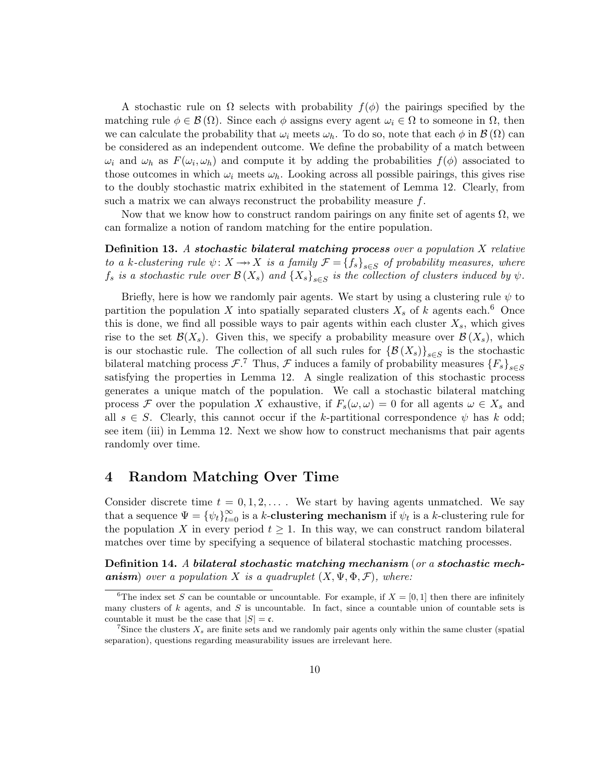A stochastic rule on  $\Omega$  selects with probability  $f(\phi)$  the pairings specified by the matching rule  $\phi \in \mathcal{B}(\Omega)$ . Since each  $\phi$  assigns every agent  $\omega_i \in \Omega$  to someone in  $\Omega$ , then we can calculate the probability that  $\omega_i$  meets  $\omega_h$ . To do so, note that each  $\phi$  in  $\mathcal{B}(\Omega)$  can be considered as an independent outcome. We define the probability of a match between  $\omega_i$  and  $\omega_h$  as  $F(\omega_i, \omega_h)$  and compute it by adding the probabilities  $f(\phi)$  associated to those outcomes in which  $\omega_i$  meets  $\omega_h$ . Looking across all possible pairings, this gives rise to the doubly stochastic matrix exhibited in the statement of Lemma 12. Clearly, from such a matrix we can always reconstruct the probability measure *f*.

Now that we know how to construct random pairings on any finite set of agents  $\Omega$ , we can formalize a notion of random matching for the entire population.

**Definition 13.** A *stochastic bilateral matching process* over a population *X* relative to a *k*-clustering rule  $\psi: X \longrightarrow X$  is a family  $\mathcal{F} = \{f_s\}_{s \in S}$  of probability measures, where  $f_s$  is a stochastic rule over  $\mathcal{B}(X_s)$  and  $\{X_s\}_{s\in S}$  is the collection of clusters induced by  $\psi$ .

Briefly, here is how we randomly pair agents. We start by using a clustering rule  $\psi$  to partition the population *X* into spatially separated clusters  $X_s$  of *k* agents each.<sup>6</sup> Once this is done, we find all possible ways to pair agents within each cluster  $X_s$ , which gives rise to the set  $\mathcal{B}(X_s)$ . Given this, we specify a probability measure over  $\mathcal{B}(X_s)$ , which is our stochastic rule. The collection of all such rules for  $\{\mathcal{B}(X_s)\}_{s\in S}$  is the stochastic bilateral matching process  $\mathcal{F}$ .<sup>7</sup> Thus,  $\mathcal{F}$  induces a family of probability measures  $\{F_s\}_{s\in S}$ satisfying the properties in Lemma 12. A single realization of this stochastic process generates a unique match of the population. We call a stochastic bilateral matching process F over the population X exhaustive, if  $F_s(\omega, \omega) = 0$  for all agents  $\omega \in X_s$  and all  $s \in S$ . Clearly, this cannot occur if the *k*-partitional correspondence  $\psi$  has *k* odd; see item (iii) in Lemma 12. Next we show how to construct mechanisms that pair agents randomly over time.

## **4 Random Matching Over Time**

Consider discrete time  $t = 0, 1, 2, \ldots$ . We start by having agents unmatched. We say that a sequence  $\Psi = {\psi_t}_{t=0}^{\infty}$  is a *k*-**clustering mechanism** if  $\psi_t$  is a *k*-clustering rule for the population *X* in every period  $t \geq 1$ . In this way, we can construct random bilateral matches over time by specifying a sequence of bilateral stochastic matching processes.

**Definition 14.** A *bilateral stochastic matching mechanism* (or a *stochastic mech***anism**) over a population *X* is a quadruplet  $(X, \Psi, \Phi, \mathcal{F})$ , where:

<sup>&</sup>lt;sup>6</sup>The index set *S* can be countable or uncountable. For example, if  $X = [0, 1]$  then there are infinitely many clusters of *k* agents, and *S* is uncountable. In fact, since a countable union of countable sets is countable it must be the case that  $|S| = \mathfrak{c}$ .

<sup>&</sup>lt;sup>7</sup>Since the clusters  $X_s$  are finite sets and we randomly pair agents only within the same cluster (spatial) separation), questions regarding measurability issues are irrelevant here.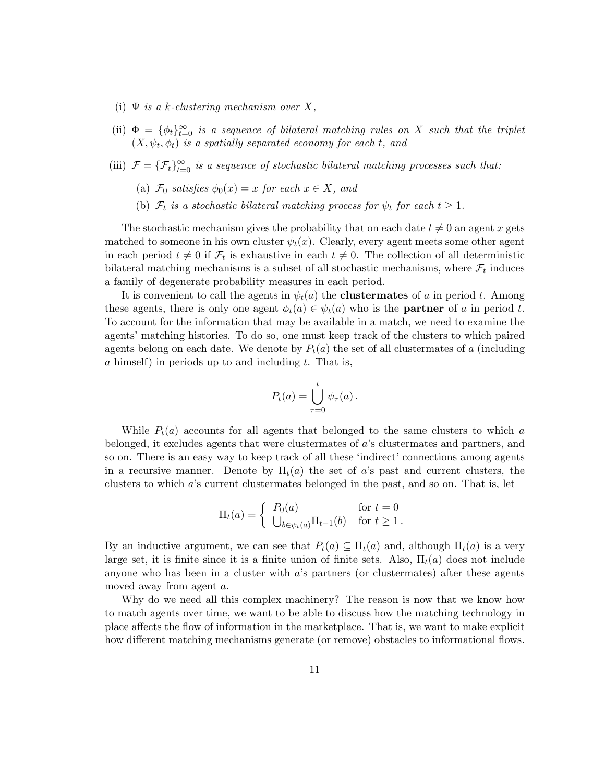- (i)  $\Psi$  *is a k*-clustering mechanism over X,
- (ii)  $\Phi = {\phi_t}_{t=0}^{\infty}$  is a sequence of bilateral matching rules on *X* such that the triplet  $(X, \psi_t, \phi_t)$  is a spatially separated economy for each *t*, and
- (iii)  $\mathcal{F} = {\{\mathcal{F}_t\}}_{t=0}^{\infty}$  is a sequence of stochastic bilateral matching processes such that:
	- (a)  $\mathcal{F}_0$  satisfies  $\phi_0(x) = x$  for each  $x \in X$ , and
	- (b)  $\mathcal{F}_t$  is a stochastic bilateral matching process for  $\psi_t$  for each  $t \geq 1$ .

The stochastic mechanism gives the probability that on each date  $t \neq 0$  an agent x gets matched to someone in his own cluster  $\psi_t(x)$ . Clearly, every agent meets some other agent in each period  $t \neq 0$  if  $\mathcal{F}_t$  is exhaustive in each  $t \neq 0$ . The collection of all deterministic bilateral matching mechanisms is a subset of all stochastic mechanisms, where  $\mathcal{F}_t$  induces a family of degenerate probability measures in each period.

It is convenient to call the agents in  $\psi_t(a)$  the **clustermates** of *a* in period *t*. Among these agents, there is only one agent  $\phi_t(a) \in \psi_t(a)$  who is the **partner** of *a* in period *t*. To account for the information that may be available in a match, we need to examine the agents' matching histories. To do so, one must keep track of the clusters to which paired agents belong on each date. We denote by  $P_t(a)$  the set of all clustermates of a (including *a* himself) in periods up to and including *t*. That is,

$$
P_t(a) = \bigcup_{\tau=0}^t \psi_\tau(a).
$$

While  $P_t(a)$  accounts for all agents that belonged to the same clusters to which *a* belonged, it excludes agents that were clustermates of *a*'s clustermates and partners, and so on. There is an easy way to keep track of all these 'indirect' connections among agents in a recursive manner. Denote by  $\Pi_t(a)$  the set of *a*'s past and current clusters, the clusters to which *a*'s current clustermates belonged in the past, and so on. That is, let

$$
\Pi_t(a) = \begin{cases} P_0(a) & \text{for } t = 0\\ \bigcup_{b \in \psi_t(a)} \Pi_{t-1}(b) & \text{for } t \ge 1. \end{cases}
$$

By an inductive argument, we can see that  $P_t(a) \subseteq \Pi_t(a)$  and, although  $\Pi_t(a)$  is a very large set, it is finite since it is a finite union of finite sets. Also,  $\Pi_t(a)$  does not include anyone who has been in a cluster with *a*'s partners (or clustermates) after these agents moved away from agent *a*.

Why do we need all this complex machinery? The reason is now that we know how to match agents over time, we want to be able to discuss how the matching technology in place affects the flow of information in the marketplace. That is, we want to make explicit how different matching mechanisms generate (or remove) obstacles to informational flows.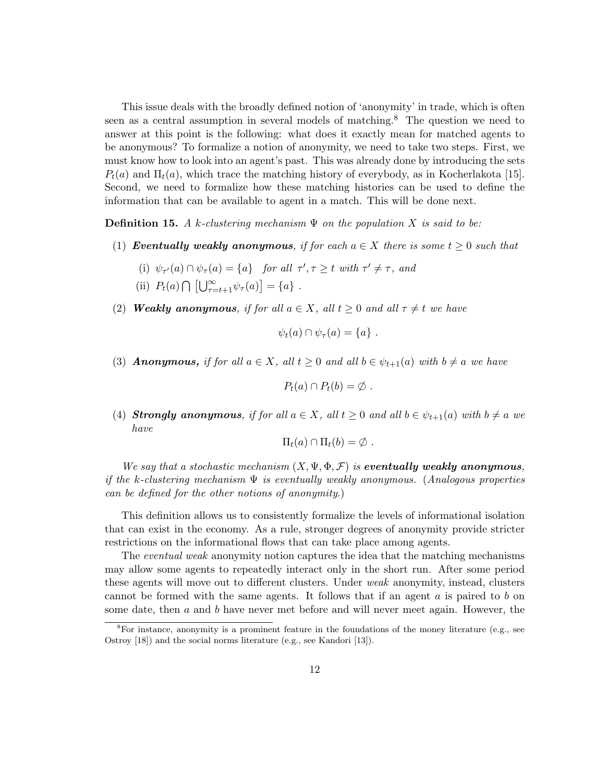This issue deals with the broadly defined notion of 'anonymity' in trade, which is often seen as a central assumption in several models of matching.<sup>8</sup> The question we need to answer at this point is the following: what does it exactly mean for matched agents to be anonymous? To formalize a notion of anonymity, we need to take two steps. First, we must know how to look into an agent's past. This was already done by introducing the sets  $P_t(a)$  and  $\Pi_t(a)$ , which trace the matching history of everybody, as in Kocherlakota [15]. Second, we need to formalize how these matching histories can be used to define the information that can be available to agent in a match. This will be done next.

**Definition 15.** A *k*-clustering mechanism  $\Psi$  on the population X is said to be:

- (1) **Eventually weakly anonymous**, if for each  $a \in X$  there is some  $t \geq 0$  such that
	- (i)  $\psi_{\tau'}(a) \cap \psi_{\tau}(a) = \{a\}$  for all  $\tau', \tau \geq t$  with  $\tau' \neq \tau$ , and
	- (ii)  $P_t(a) \cap [\bigcup_{\tau=t+1}^{\infty} \psi_{\tau}(a)] = \{a\}$ .
- (2) **Weakly anonymous**, if for all  $a \in X$ , all  $t \ge 0$  and all  $\tau \ne t$  we have

$$
\psi_t(a) \cap \psi_\tau(a) = \{a\} .
$$

(3) **Anonymous,** if for all  $a \in X$ , all  $t \ge 0$  and all  $b \in \psi_{t+1}(a)$  with  $b \ne a$  we have

$$
P_t(a) \cap P_t(b) = \emptyset.
$$

(4) **Strongly anonymous**, if for all  $a \in X$ , all  $t \ge 0$  and all  $b \in \psi_{t+1}(a)$  with  $b \ne a$  we have

$$
\Pi_t(a) \cap \Pi_t(b) = \emptyset.
$$

We say that a stochastic mechanism  $(X, \Psi, \Phi, \mathcal{F})$  is **eventually weakly anonymous**, if the *k*-clustering mechanism Ψ is eventually weakly anonymous. (Analogous properties can be defined for the other notions of anonymity*.*)

This definition allows us to consistently formalize the levels of informational isolation that can exist in the economy. As a rule, stronger degrees of anonymity provide stricter restrictions on the informational flows that can take place among agents.

The eventual weak anonymity notion captures the idea that the matching mechanisms may allow some agents to repeatedly interact only in the short run. After some period these agents will move out to different clusters. Under weak anonymity, instead, clusters cannot be formed with the same agents. It follows that if an agent *a* is paired to *b* on some date, then *a* and *b* have never met before and will never meet again. However, the

 ${}^{8}$ For instance, anonymity is a prominent feature in the foundations of the money literature (e.g., see Ostroy [18]) and the social norms literature (e.g., see Kandori [13]).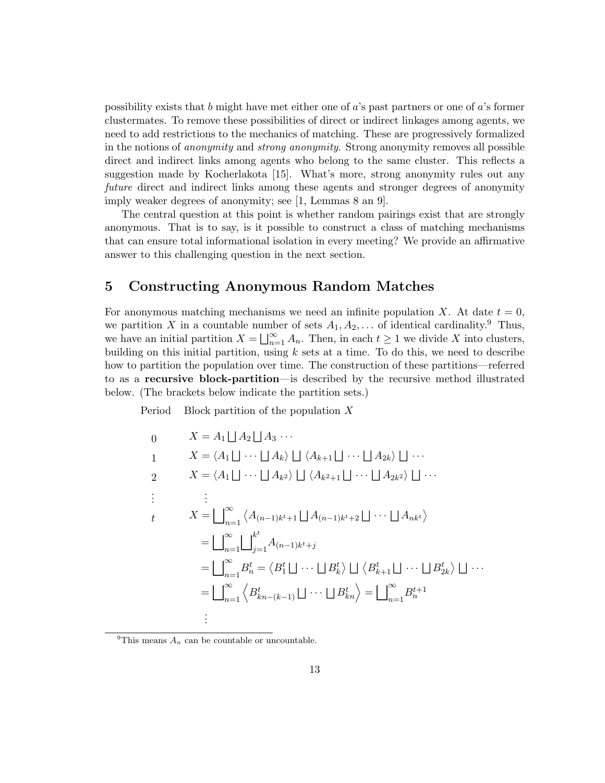possibility exists that *b* might have met either one of *a*'s past partners or one of *a*'s former clustermates. To remove these possibilities of direct or indirect linkages among agents, we need to add restrictions to the mechanics of matching. These are progressively formalized in the notions of anonymity and strong anonymity. Strong anonymity removes all possible direct and indirect links among agents who belong to the same cluster. This reflects a suggestion made by Kocherlakota [15]. What's more, strong anonymity rules out any future direct and indirect links among these agents and stronger degrees of anonymity imply weaker degrees of anonymity; see [1, Lemmas 8 an 9].

The central question at this point is whether random pairings exist that are strongly anonymous. That is to say, is it possible to construct a class of matching mechanisms that can ensure total informational isolation in every meeting? We provide an affirmative answer to this challenging question in the next section.

## **5 Constructing Anonymous Random Matches**

For anonymous matching mechanisms we need an infinite population *X*. At date  $t = 0$ , we partition *X* in a countable number of sets  $A_1, A_2, \ldots$  of identical cardinality.<sup>9</sup> Thus, we have an initial partition  $X = \bigsqcup_{n=1}^{\infty} A_n$ . Then, in each  $t \geq 1$  we divide *X* into clusters, building on this initial partition, using *k* sets at a time. To do this, we need to describe how to partition the population over time. The construction of these partitions—referred to as a **recursive block-partition**—is described by the recursive method illustrated below. (The brackets below indicate the partition sets.)

Period Block partition of the population *X*

$$
0 \t X = A_1 \sqcup A_2 \sqcup A_3 \cdots
$$
  
\n
$$
1 \t X = \langle A_1 \sqcup \cdots \sqcup A_k \rangle \sqcup \langle A_{k+1} \sqcup \cdots \sqcup A_{2k} \rangle \sqcup \cdots
$$
  
\n
$$
2 \t X = \langle A_1 \sqcup \cdots \sqcup A_{k^2} \rangle \sqcup \langle A_{k^2+1} \sqcup \cdots \sqcup A_{2k^2} \rangle \sqcup \cdots
$$
  
\n
$$
\vdots \t \vdots
$$
  
\n
$$
X = \bigcup_{n=1}^{\infty} \langle A_{(n-1)k^t+1} \sqcup A_{(n-1)k^t+2} \sqcup \cdots \sqcup A_{nk^t} \rangle
$$
  
\n
$$
= \bigcup_{n=1}^{\infty} \bigcup_{j=1}^{k^t} A_{(n-1)k^t+j}
$$
  
\n
$$
= \bigcup_{n=1}^{\infty} B_n^t = \langle B_1^t \sqcup \cdots \sqcup B_k^t \rangle \sqcup \langle B_{k+1}^t \sqcup \cdots \sqcup B_{2k}^t \rangle \sqcup \cdots
$$
  
\n
$$
= \bigcup_{n=1}^{\infty} \langle B_{kn-(k-1)}^t \sqcup \cdots \sqcup B_{kn}^t \rangle = \bigcup_{n=1}^{\infty} B_n^{t+1}
$$
  
\n
$$
\vdots
$$

<sup>9</sup>This means  $A_n$  can be countable or uncountable.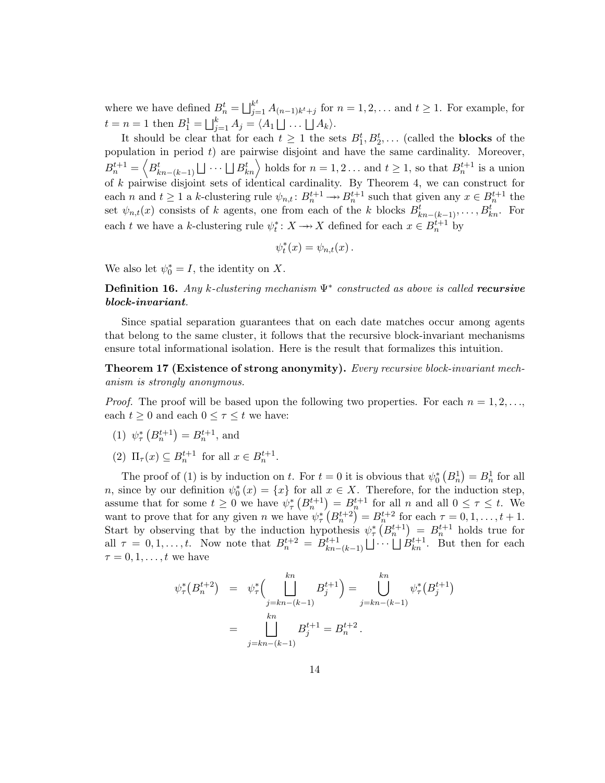where we have defined  $B_n^t = \bigsqcup_{j=1}^{k^t} A_{(n-1)k^t+j}$  for  $n = 1, 2, \ldots$  and  $t \ge 1$ . For example, for  $t = n = 1$  then  $B_1^1 = \bigsqcup_{j=1}^k A_j = \langle A_1 \bigsqcup \ldots \bigsqcup A_k \rangle$ .

It should be clear that for each  $t \geq 1$  the sets  $B_1^t, B_2^t, \ldots$  (called the **blocks** of the population in period *t*) are pairwise disjoint and have the same cardinality. Moreover,  $B_n^{t+1} = \left\langle B_{kn-(k-1)}^t \sqcup \cdots \sqcup B_{kn}^t \right\rangle$  holds for  $n = 1, 2 \ldots$  and  $t \ge 1$ , so that  $B_n^{t+1}$  is a union of *k* pairwise disjoint sets of identical cardinality. By Theorem 4, we can construct for each *n* and  $t \geq 1$  a *k*-clustering rule  $\psi_{n,t}: B_n^{t+1} \to B_n^{t+1}$  such that given any  $x \in B_n^{t+1}$  the set  $\psi_{n,t}(x)$  consists of *k* agents, one from each of the *k* blocks  $B_{kn-(k-1)}^t, \ldots, B_{kn}^t$ . For each *t* we have a *k*-clustering rule  $\psi_t^* : X \to X$  defined for each  $x \in B_n^{t+1}$  by

$$
\psi_t^*(x) = \psi_{n,t}(x) \, .
$$

We also let  $\psi_0^* = I$ , the identity on X.

**Definition 16.** Any *k*-clustering mechanism Ψ<sup>∗</sup> constructed as above is called *recursive block-invariant*.

Since spatial separation guarantees that on each date matches occur among agents that belong to the same cluster, it follows that the recursive block-invariant mechanisms ensure total informational isolation. Here is the result that formalizes this intuition.

**Theorem 17 (Existence of strong anonymity).** Every recursive block-invariant mechanism is strongly anonymous.

*Proof.* The proof will be based upon the following two properties. For each  $n = 1, 2, \ldots$ each  $t \geq 0$  and each  $0 \leq \tau \leq t$  we have:

- (1)  $\psi_{\tau}^{*}\left(B_{n}^{t+1}\right) = B_{n}^{t+1}$ , and
- (2)  $\Pi_{\tau}(x) \subseteq B_n^{t+1}$  for all  $x \in B_n^{t+1}$ .

The proof of (1) is by induction on *t*. For  $t = 0$  it is obvious that  $\psi_0^* (B_n^1) = B_n^1$  for all *n*, since by our definition  $\psi_0^*(x) = \{x\}$  for all  $x \in X$ . Therefore, for the induction step, assume that for some  $t \geq 0$  we have  $\psi_{\tau}^{*}(B_{n}^{t+1}) = B_{n}^{t+1}$  for all *n* and all  $0 \leq \tau \leq t$ . We want to prove that for any given *n* we have  $\psi_{\tau}^{*}(B_{n}^{t+2}) = B_{n}^{t+2}$  for each  $\tau = 0, 1, \ldots, t+1$ . Start by observing that by the induction hypothesis  $\psi^*_{\tau}(B^{t+1}_{n}) = B^{t+1}_{n}$  holds true for all  $\tau = 0, 1, \ldots, t$ . Now note that  $B_n^{t+2} = B_{kn-(k-1)}^{t+1} \cup \cdots \cup B_{kn}^{t+1}$ . But then for each  $\tau = 0, 1, \ldots, t$  we have

$$
\psi_{\tau}^*(B_n^{t+2}) = \psi_{\tau}^*\Big(\bigcup_{j=kn-(k-1)}^{kn} B_j^{t+1}\Big) = \bigcup_{j=kn-(k-1)}^{kn} \psi_{\tau}^*(B_j^{t+1})
$$

$$
= \bigcup_{j=kn-(k-1)}^{kn} B_j^{t+1} = B_n^{t+2}.
$$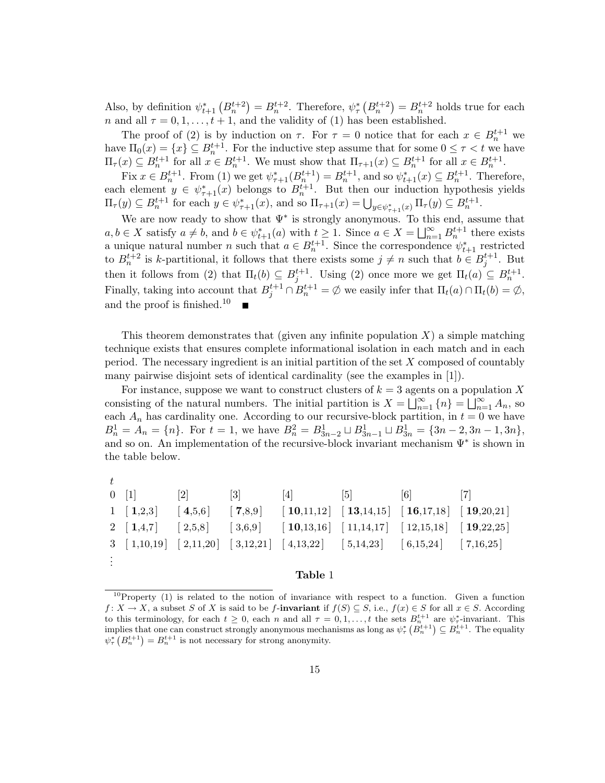Also, by definition  $\psi_{t+1}^* (B_n^{t+2}) = B_n^{t+2}$ . Therefore,  $\psi_{\tau}^* (B_n^{t+2}) = B_n^{t+2}$  holds true for each *n* and all  $\tau = 0, 1, \ldots, t + 1$ , and the validity of (1) has been established.

The proof of (2) is by induction on  $\tau$ . For  $\tau = 0$  notice that for each  $x \in B_n^{t+1}$  we have  $\Pi_0(x) = \{x\} \subseteq B_n^{t+1}$ . For the inductive step assume that for some  $0 \le \tau < t$  we have  $\Pi_{\tau}(x) \subseteq B_n^{t+1}$  for all  $x \in B_n^{t+1}$ . We must show that  $\Pi_{\tau+1}(x) \subseteq B_n^{t+1}$  for all  $x \in B_n^{t+1}$ .

 $\text{Fix } x \in B_n^{t+1}$ . From (1) we get  $\psi_{\tau+1}^*(B_n^{t+1}) = B_n^{t+1}$ , and so  $\psi_{t+1}^*(x) \subseteq B_n^{t+1}$ . Therefore, each element  $y \in \psi^*_{\tau+1}(x)$  belongs to  $B_n^{t+1}$ . But then our induction hypothesis yields  $\Pi_{\tau}(y) \subseteq B_n^{t+1}$  for each  $y \in \psi_{\tau+1}^*(x)$ , and so  $\Pi_{\tau+1}(x) = \bigcup_{y \in \psi_{\tau+1}^*(x)} \Pi_{\tau}(y) \subseteq B_n^{t+1}$ .

We are now ready to show that  $\Psi^*$  is strongly anonymous. To this end, assume that  $a, b \in X$  satisfy  $a \neq b$ , and  $b \in \psi_{t+1}^*(a)$  with  $t \geq 1$ . Since  $a \in X = \bigsqcup_{n=1}^{\infty} B_n^{t+1}$  there exists a unique natural number *n* such that  $a \in B_n^{t+1}$ . Since the correspondence  $\psi_{t+1}^*$  restricted to  $B_n^{t+2}$  is *k*-partitional, it follows that there exists some  $j \neq n$  such that  $b \in B_j^{t+1}$ . But then it follows from (2) that  $\Pi_t(b) \subseteq B_j^{t+1}$ . Using (2) once more we get  $\Pi_t(a) \subseteq B_n^{t+1}$ . Finally, taking into account that  $B_j^{t+1} \cap B_n^{t+1} = \emptyset$  we easily infer that  $\Pi_t(a) \cap \Pi_t(b) = \emptyset$ , and the proof is finished.<sup>10</sup>

This theorem demonstrates that (given any infinite population *X*) a simple matching technique exists that ensures complete informational isolation in each match and in each period. The necessary ingredient is an initial partition of the set *X* composed of countably many pairwise disjoint sets of identical cardinality (see the examples in [1]).

For instance, suppose we want to construct clusters of  $k = 3$  agents on a population X consisting of the natural numbers. The initial partition is  $X = \bigsqcup_{n=1}^{\infty} \{n\} = \bigsqcup_{n=1}^{\infty} A_n$ , so each  $A_n$  has cardinality one. According to our recursive-block partition, in  $t = 0$  we have  $B_n^1 = A_n = \{n\}$ . For  $t = 1$ , we have  $B_n^2 = B_{3n-2}^1 \sqcup B_{3n-1}^1 \sqcup B_{3n}^1 = \{3n-2, 3n-1, 3n\}$ , and so on. An implementation of the recursive-block invariant mechanism  $\Psi^*$  is shown in the table below.

| $\pm$ |                 |                   |                                                                                                                                                                                                                                                                                           |                 |  |
|-------|-----------------|-------------------|-------------------------------------------------------------------------------------------------------------------------------------------------------------------------------------------------------------------------------------------------------------------------------------------|-----------------|--|
|       | $0 \t[1] \t[2]$ | $\lceil 3 \rceil$ | $[4] \qquad \qquad [5] \qquad \qquad [6]$                                                                                                                                                                                                                                                 | $\vert 7 \vert$ |  |
|       |                 |                   | $1 \t[1,2,3] \t[4,5,6] \t[7,8,9] \t[10,11,12] \t[13,14,15] \t[16,17,18] \t[19,20,21]$                                                                                                                                                                                                     |                 |  |
|       |                 |                   | 2 $\begin{bmatrix} 1,4,7 \end{bmatrix}$ $\begin{bmatrix} 2,5,8 \end{bmatrix}$ $\begin{bmatrix} 3,6,9 \end{bmatrix}$ $\begin{bmatrix} 10,13,16 \end{bmatrix}$ $\begin{bmatrix} 11,14,17 \end{bmatrix}$ $\begin{bmatrix} 12,15,18 \end{bmatrix}$ $\begin{bmatrix} 19,22,25 \end{bmatrix}$   |                 |  |
|       |                 |                   | $3 \begin{bmatrix} 1,10,19 \end{bmatrix}$ $\begin{bmatrix} 2,11,20 \end{bmatrix}$ $\begin{bmatrix} 3,12,21 \end{bmatrix}$ $\begin{bmatrix} 4,13,22 \end{bmatrix}$ $\begin{bmatrix} 5,14,23 \end{bmatrix}$ $\begin{bmatrix} 6,15,24 \end{bmatrix}$ $\begin{bmatrix} 7,16,25 \end{bmatrix}$ |                 |  |
|       |                 |                   |                                                                                                                                                                                                                                                                                           |                 |  |
|       |                 |                   | Table 1                                                                                                                                                                                                                                                                                   |                 |  |

 $10$ Property (1) is related to the notion of invariance with respect to a function. Given a function *f* : *X* → *X*, a subset *S* of *X* is said to be *f*-**invariant** if  $f(S) \subseteq S$ , i.e.,  $f(x) \in S$  for all  $x \in S$ . According to this terminology, for each  $t \geq 0$ , each *n* and all  $\tau = 0, 1, \ldots, t$  the sets  $B_n^{t+1}$  are  $\psi^*$ -invariant. This implies that one can construct strongly anonymous mechanisms as long as  $\psi^*_\tau(B_n^{t+1}) \subseteq B_n^{t+1}$ . The equality  $\psi_{\tau}^{*}\left(B_{n}^{t+1}\right) = B_{n}^{t+1}$  is not necessary for strong anonymity.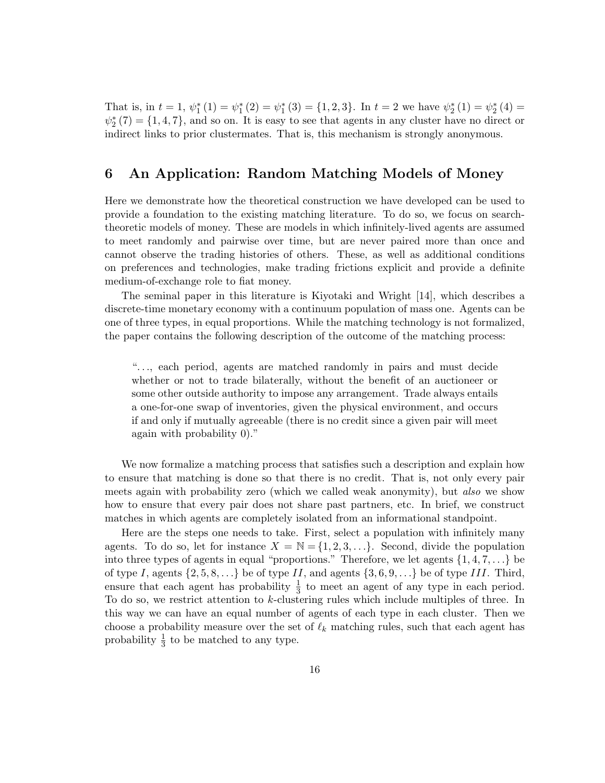That is, in  $t = 1$ ,  $\psi_1^*(1) = \psi_1^*(2) = \psi_1^*(3) = \{1, 2, 3\}$ . In  $t = 2$  we have  $\psi_2^*(1) = \psi_2^*(4) =$  $\psi_2^*(7) = \{1, 4, 7\}$ , and so on. It is easy to see that agents in any cluster have no direct or indirect links to prior clustermates. That is, this mechanism is strongly anonymous.

## **6 An Application: Random Matching Models of Money**

Here we demonstrate how the theoretical construction we have developed can be used to provide a foundation to the existing matching literature. To do so, we focus on searchtheoretic models of money. These are models in which infinitely-lived agents are assumed to meet randomly and pairwise over time, but are never paired more than once and cannot observe the trading histories of others. These, as well as additional conditions on preferences and technologies, make trading frictions explicit and provide a definite medium-of-exchange role to fiat money.

The seminal paper in this literature is Kiyotaki and Wright [14], which describes a discrete-time monetary economy with a continuum population of mass one. Agents can be one of three types, in equal proportions. While the matching technology is not formalized, the paper contains the following description of the outcome of the matching process:

"*...*, each period, agents are matched randomly in pairs and must decide whether or not to trade bilaterally, without the benefit of an auctioneer or some other outside authority to impose any arrangement. Trade always entails a one-for-one swap of inventories, given the physical environment, and occurs if and only if mutually agreeable (there is no credit since a given pair will meet again with probability 0)."

We now formalize a matching process that satisfies such a description and explain how to ensure that matching is done so that there is no credit. That is, not only every pair meets again with probability zero (which we called weak anonymity), but also we show how to ensure that every pair does not share past partners, etc. In brief, we construct matches in which agents are completely isolated from an informational standpoint.

Here are the steps one needs to take. First, select a population with infinitely many agents. To do so, let for instance  $X = \mathbb{N} = \{1, 2, 3, \ldots\}$ . Second, divide the population into three types of agents in equal "proportions." Therefore, we let agents  $\{1, 4, 7, \ldots\}$  be of type *I*, agents  $\{2, 5, 8, \ldots\}$  be of type *II*, and agents  $\{3, 6, 9, \ldots\}$  be of type *III*. Third, ensure that each agent has probability  $\frac{1}{3}$  to meet an agent of any type in each period. To do so, we restrict attention to *k*-clustering rules which include multiples of three. In this way we can have an equal number of agents of each type in each cluster. Then we choose a probability measure over the set of  $\ell_k$  matching rules, such that each agent has probability  $\frac{1}{3}$  to be matched to any type.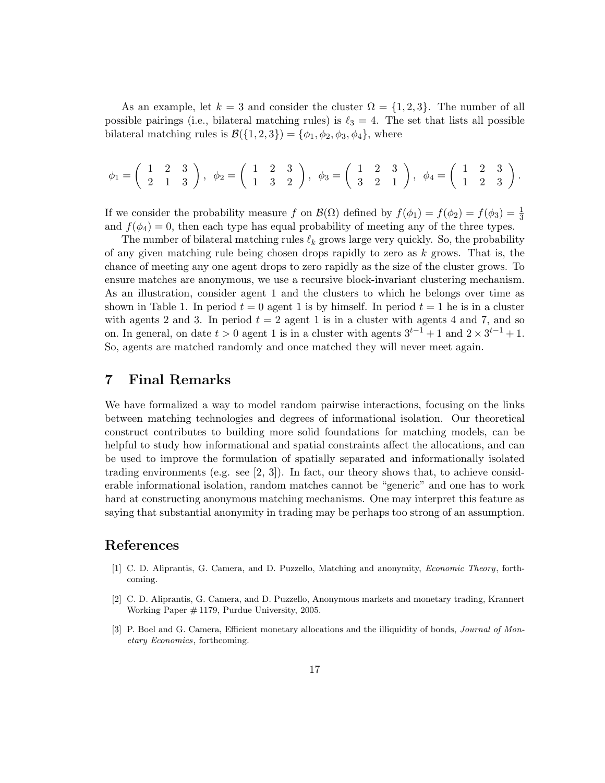As an example, let  $k = 3$  and consider the cluster  $\Omega = \{1, 2, 3\}$ . The number of all possible pairings (i.e., bilateral matching rules) is  $\ell_3 = 4$ . The set that lists all possible bilateral matching rules is  $\mathcal{B}(\{1,2,3\}) = \{\phi_1, \phi_2, \phi_3, \phi_4\}$ , where

$$
\phi_1 = \begin{pmatrix} 1 & 2 & 3 \\ 2 & 1 & 3 \end{pmatrix}, \phi_2 = \begin{pmatrix} 1 & 2 & 3 \\ 1 & 3 & 2 \end{pmatrix}, \phi_3 = \begin{pmatrix} 1 & 2 & 3 \\ 3 & 2 & 1 \end{pmatrix}, \phi_4 = \begin{pmatrix} 1 & 2 & 3 \\ 1 & 2 & 3 \end{pmatrix}.
$$

If we consider the probability measure *f* on  $\mathcal{B}(\Omega)$  defined by  $f(\phi_1) = f(\phi_2) = f(\phi_3) = \frac{1}{3}$ and  $f(\phi_4)=0$ , then each type has equal probability of meeting any of the three types.

The number of bilateral matching rules  $\ell_k$  grows large very quickly. So, the probability of any given matching rule being chosen drops rapidly to zero as *k* grows. That is, the chance of meeting any one agent drops to zero rapidly as the size of the cluster grows. To ensure matches are anonymous, we use a recursive block-invariant clustering mechanism. As an illustration, consider agent 1 and the clusters to which he belongs over time as shown in Table 1. In period  $t = 0$  agent 1 is by himself. In period  $t = 1$  he is in a cluster with agents 2 and 3. In period  $t = 2$  agent 1 is in a cluster with agents 4 and 7, and so on. In general, on date  $t > 0$  agent 1 is in a cluster with agents  $3^{t-1} + 1$  and  $2 \times 3^{t-1} + 1$ . So, agents are matched randomly and once matched they will never meet again.

## **7 Final Remarks**

We have formalized a way to model random pairwise interactions, focusing on the links between matching technologies and degrees of informational isolation. Our theoretical construct contributes to building more solid foundations for matching models, can be helpful to study how informational and spatial constraints affect the allocations, and can be used to improve the formulation of spatially separated and informationally isolated trading environments (e.g. see  $[2, 3]$ ). In fact, our theory shows that, to achieve considerable informational isolation, random matches cannot be "generic" and one has to work hard at constructing anonymous matching mechanisms. One may interpret this feature as saying that substantial anonymity in trading may be perhaps too strong of an assumption.

## **References**

- [1] C. D. Aliprantis, G. Camera, and D. Puzzello, Matching and anonymity, *Economic Theory*, forthcoming.
- [2] C. D. Aliprantis, G. Camera, and D. Puzzello, Anonymous markets and monetary trading, Krannert Working Paper # 1179, Purdue University, 2005.
- [3] P. Boel and G. Camera, Efficient monetary allocations and the illiquidity of bonds, *Journal of Monetary Economics*, forthcoming.